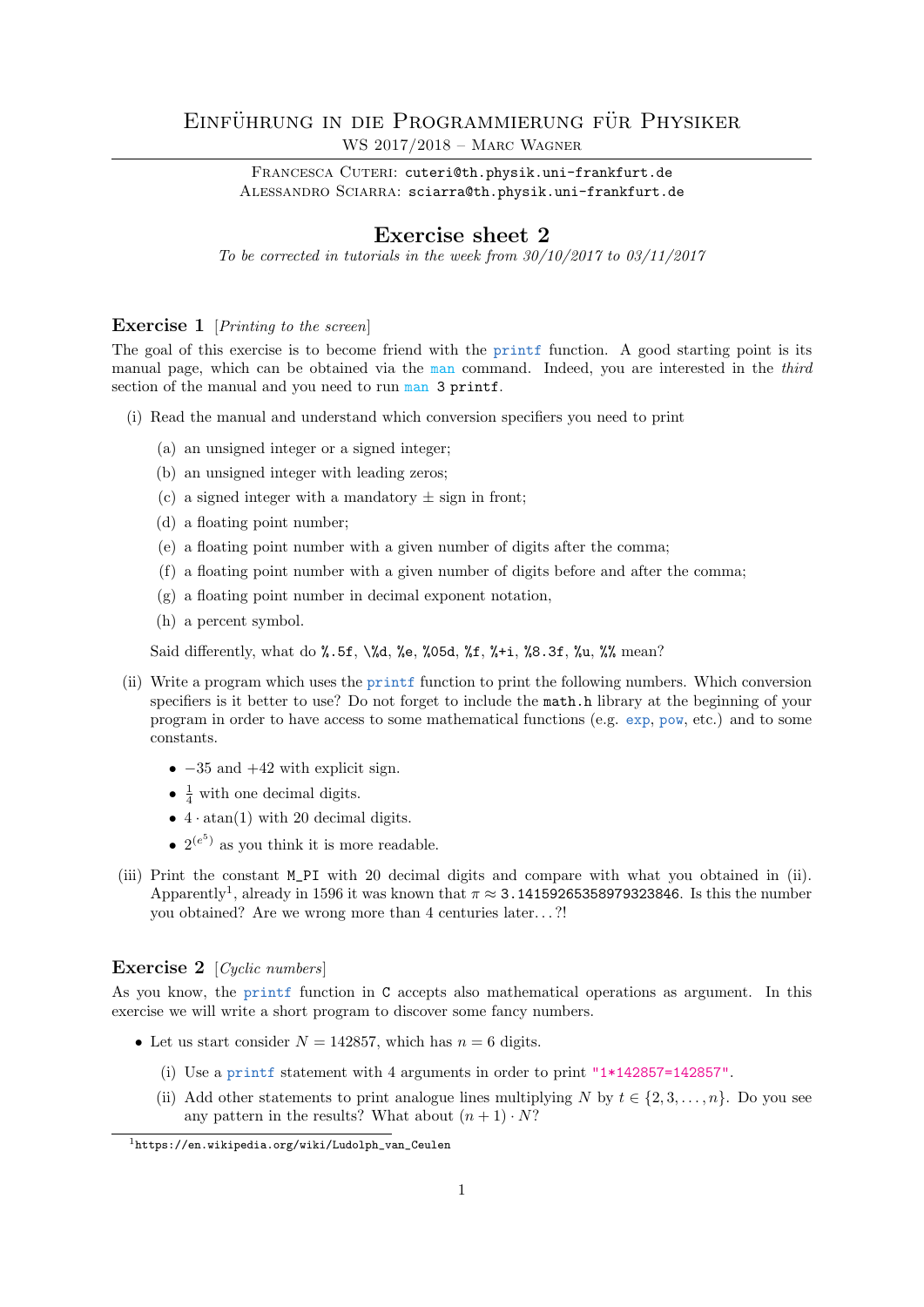# EINFÜHRUNG IN DIE PROGRAMMIERUNG FÜR PHYSIKER WS 2017/2018 – Marc Wagner

FRANCESCA CUTERI: cuteri@th.physik.uni-frankfurt.de ALESSANDRO SCIARRA: sciarra@th.physik.uni-frankfurt.de

## Exercise sheet 2

To be corrected in tutorials in the week from  $30/10/2017$  to  $03/11/2017$ 

#### **Exercise 1** [Printing to the screen]

The goal of this exercise is to become friend with the printf function. A good starting point is its manual page, which can be obtained via the man command. Indeed, you are interested in the third section of the manual and you need to run man 3 printf.

- (i) Read the manual and understand which conversion specifiers you need to print
	- (a) an unsigned integer or a signed integer;
	- (b) an unsigned integer with leading zeros;
	- (c) a signed integer with a mandatory  $\pm$  sign in front;
	- (d) a floating point number;
	- (e) a floating point number with a given number of digits after the comma;
	- (f) a floating point number with a given number of digits before and after the comma;
	- (g) a floating point number in decimal exponent notation,
	- (h) a percent symbol.

Said differently, what do %.5f, \%d, %e, %05d, %f, %+i, %8.3f, %u, %% mean?

- (ii) Write a program which uses the printf function to print the following numbers. Which conversion specifiers is it better to use? Do not forget to include the math.h library at the beginning of your program in order to have access to some mathematical functions (e.g. exp, pow, etc.) and to some constants.
	- $-35$  and  $+42$  with explicit sign.
	- $\frac{1}{4}$  with one decimal digits.
	- $4 \cdot \text{atan}(1)$  with 20 decimal digits.
	- $2^{(e^5)}$  as you think it is more readable.
- (iii) Print the constant M\_PI with 20 decimal digits and compare with what you obtained in (ii). Apparently<sup>1</sup>, already in 1596 it was known that  $\pi \approx 3.14159265358979323846$ . Is this the number you obtained? Are we wrong more than 4 centuries later. . . ?!

### Exercise 2 [Cyclic numbers]

As you know, the printf function in C accepts also mathematical operations as argument. In this exercise we will write a short program to discover some fancy numbers.

- Let us start consider  $N = 142857$ , which has  $n = 6$  digits.
	- (i) Use a printf statement with 4 arguments in order to print "1\*142857=142857".
	- (ii) Add other statements to print analogue lines multiplying N by  $t \in \{2, 3, ..., n\}$ . Do you see any pattern in the results? What about  $(n + 1) \cdot N$ ?

 $1$ https://en.wikipedia.org/wiki/Ludolph\_van\_Ceulen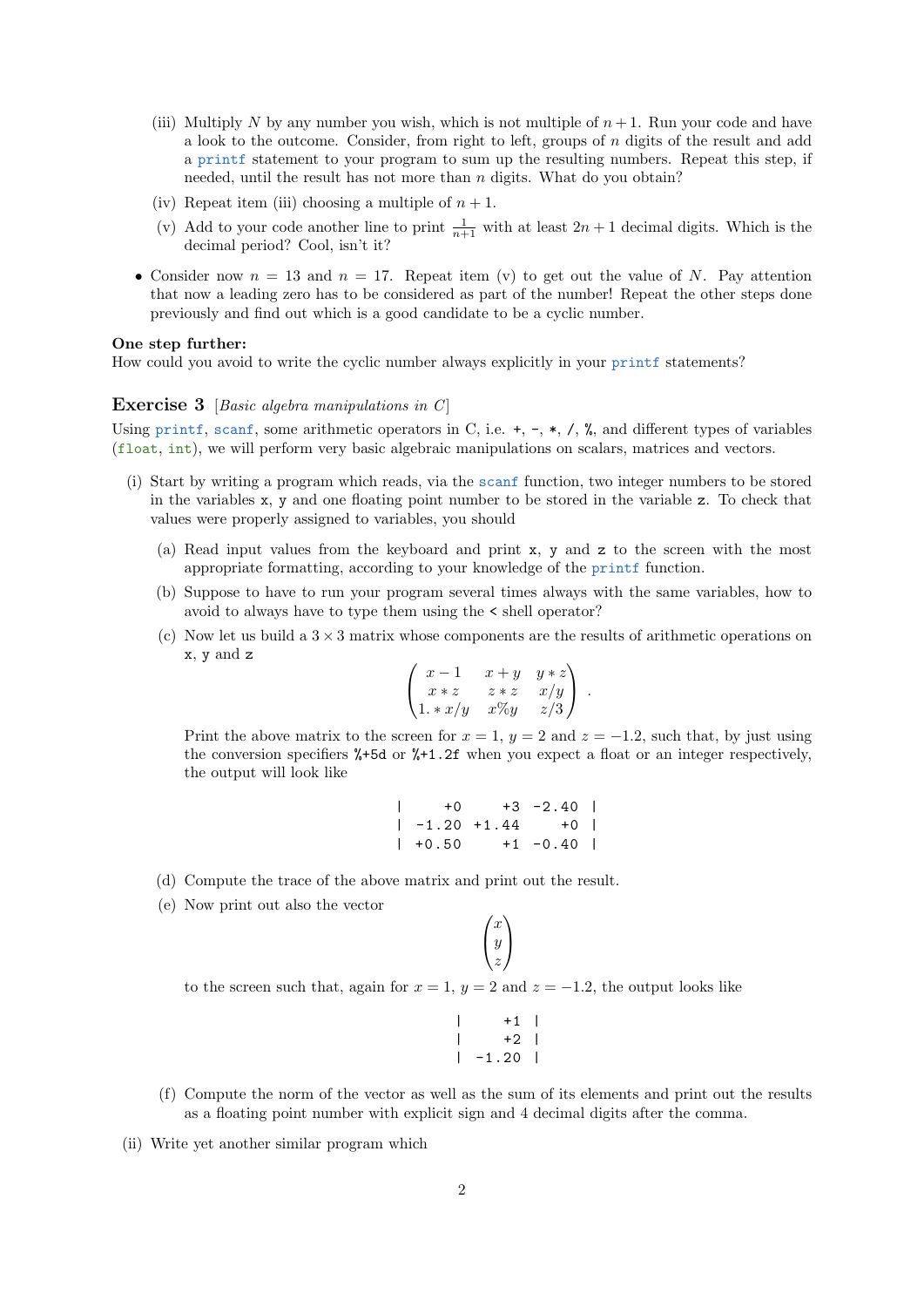- (iii) Multiply N by any number you wish, which is not multiple of  $n + 1$ . Run your code and have a look to the outcome. Consider, from right to left, groups of  $n$  digits of the result and add a printf statement to your program to sum up the resulting numbers. Repeat this step, if needed, until the result has not more than  $n$  digits. What do you obtain?
- (iv) Repeat item (iii) choosing a multiple of  $n + 1$ .
- (v) Add to your code another line to print  $\frac{1}{n+1}$  with at least  $2n + 1$  decimal digits. Which is the decimal period? Cool, isn't it?
- Consider now  $n = 13$  and  $n = 17$ . Repeat item (v) to get out the value of N. Pay attention that now a leading zero has to be considered as part of the number! Repeat the other steps done previously and find out which is a good candidate to be a cyclic number.

#### One step further:

How could you avoid to write the cyclic number always explicitly in your printf statements?

### **Exercise 3** [Basic algebra manipulations in  $C$ ]

Using printf, scanf, some arithmetic operators in C, i.e.  $+$ ,  $-$ ,  $*$ ,  $/$ ,  $%$ , and different types of variables (float, int), we will perform very basic algebraic manipulations on scalars, matrices and vectors.

- (i) Start by writing a program which reads, via the scanf function, two integer numbers to be stored in the variables x, y and one floating point number to be stored in the variable z. To check that values were properly assigned to variables, you should
	- (a) Read input values from the keyboard and print x, y and z to the screen with the most appropriate formatting, according to your knowledge of the printf function.
	- (b) Suppose to have to run your program several times always with the same variables, how to avoid to always have to type them using the < shell operator?
	- (c) Now let us build a  $3 \times 3$  matrix whose components are the results of arithmetic operations on x, y and z

$$
\begin{pmatrix} x-1 & x+y & y*z \\ x*z & z*z & x/y \\ 1. * x/y & x\%y & z/3 \end{pmatrix}.
$$

Print the above matrix to the screen for  $x = 1$ ,  $y = 2$  and  $z = -1.2$ , such that, by just using the conversion specifiers %+5d or %+1.2f when you expect a float or an integer respectively, the output will look like

$$
\begin{array}{cccc}\n| & +0 & +3 & -2.40 \\
| & -1.20 & +1.44 & +0 \\
| & +0.50 & +1 & -0.40\n\end{array}
$$

- (d) Compute the trace of the above matrix and print out the result.
- (e) Now print out also the vector

$$
\begin{pmatrix} x \\ y \\ z \end{pmatrix}
$$

to the screen such that, again for  $x = 1$ ,  $y = 2$  and  $z = -1.2$ , the output looks like

|              | $+1$    |  |
|--------------|---------|--|
|              | $+2$ 1  |  |
| $\mathbf{I}$ | $-1.20$ |  |

- (f) Compute the norm of the vector as well as the sum of its elements and print out the results as a floating point number with explicit sign and 4 decimal digits after the comma.
- (ii) Write yet another similar program which